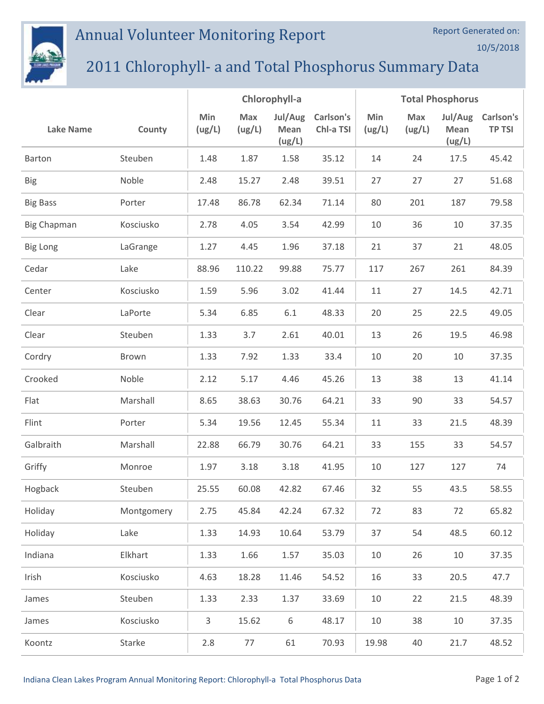## Annual Volunteer Monitoring Report



## 2011 Chlorophyll- a and Total Phosphorus Summary Data

|                    |            | Chlorophyll-a |                      |                           | <b>Total Phosphorus</b> |               |               |                           |                            |
|--------------------|------------|---------------|----------------------|---------------------------|-------------------------|---------------|---------------|---------------------------|----------------------------|
| <b>Lake Name</b>   | County     | Min<br>(ug/L) | <b>Max</b><br>(ug/L) | Jul/Aug<br>Mean<br>(ug/L) | Carlson's<br>Chl-a TSI  | Min<br>(ug/L) | Max<br>(ug/L) | Jul/Aug<br>Mean<br>(ug/L) | Carlson's<br><b>TP TSI</b> |
| Barton             | Steuben    | 1.48          | 1.87                 | 1.58                      | 35.12                   | 14            | 24            | 17.5                      | 45.42                      |
| <b>Big</b>         | Noble      | 2.48          | 15.27                | 2.48                      | 39.51                   | 27            | 27            | 27                        | 51.68                      |
| <b>Big Bass</b>    | Porter     | 17.48         | 86.78                | 62.34                     | 71.14                   | 80            | 201           | 187                       | 79.58                      |
| <b>Big Chapman</b> | Kosciusko  | 2.78          | 4.05                 | 3.54                      | 42.99                   | 10            | 36            | 10                        | 37.35                      |
| <b>Big Long</b>    | LaGrange   | 1.27          | 4.45                 | 1.96                      | 37.18                   | 21            | 37            | 21                        | 48.05                      |
| Cedar              | Lake       | 88.96         | 110.22               | 99.88                     | 75.77                   | 117           | 267           | 261                       | 84.39                      |
| Center             | Kosciusko  | 1.59          | 5.96                 | 3.02                      | 41.44                   | 11            | 27            | 14.5                      | 42.71                      |
| Clear              | LaPorte    | 5.34          | 6.85                 | 6.1                       | 48.33                   | 20            | 25            | 22.5                      | 49.05                      |
| Clear              | Steuben    | 1.33          | 3.7                  | 2.61                      | 40.01                   | 13            | 26            | 19.5                      | 46.98                      |
| Cordry             | Brown      | 1.33          | 7.92                 | 1.33                      | 33.4                    | 10            | 20            | 10                        | 37.35                      |
| Crooked            | Noble      | 2.12          | 5.17                 | 4.46                      | 45.26                   | 13            | 38            | 13                        | 41.14                      |
| Flat               | Marshall   | 8.65          | 38.63                | 30.76                     | 64.21                   | 33            | 90            | 33                        | 54.57                      |
| Flint              | Porter     | 5.34          | 19.56                | 12.45                     | 55.34                   | 11            | 33            | 21.5                      | 48.39                      |
| Galbraith          | Marshall   | 22.88         | 66.79                | 30.76                     | 64.21                   | 33            | 155           | 33                        | 54.57                      |
| Griffy             | Monroe     | 1.97          | 3.18                 | 3.18                      | 41.95                   | 10            | 127           | 127                       | 74                         |
| Hogback            | Steuben    | 25.55         | 60.08                | 42.82                     | 67.46                   | 32            | 55            | 43.5                      | 58.55                      |
| Holiday            | Montgomery | 2.75          | 45.84                | 42.24                     | 67.32                   | 72            | 83            | 72                        | 65.82                      |
| Holiday            | Lake       | 1.33          | 14.93                | 10.64                     | 53.79                   | 37            | 54            | 48.5                      | 60.12                      |
| Indiana            | Elkhart    | 1.33          | 1.66                 | 1.57                      | 35.03                   | 10            | 26            | 10                        | 37.35                      |
| Irish              | Kosciusko  | 4.63          | 18.28                | 11.46                     | 54.52                   | 16            | 33            | 20.5                      | 47.7                       |
| James              | Steuben    | 1.33          | 2.33                 | 1.37                      | 33.69                   | 10            | 22            | 21.5                      | 48.39                      |
| James              | Kosciusko  | 3             | 15.62                | 6                         | 48.17                   | 10            | 38            | 10                        | 37.35                      |
| Koontz             | Starke     | 2.8           | 77                   | 61                        | 70.93                   | 19.98         | 40            | 21.7                      | 48.52                      |

Report Generated on:

10/5/2018